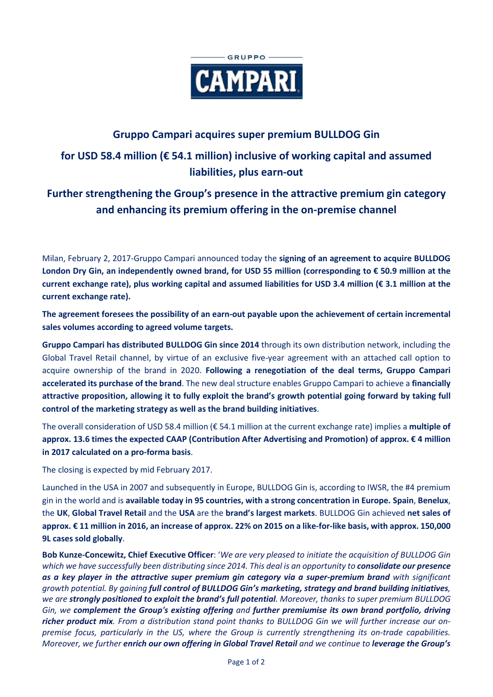

### **Gruppo Campari acquires super premium BULLDOG Gin**

# **for USD 58.4 million (€ 54.1 million) inclusive of working capital and assumed liabilities, plus earn-out**

# **Further strengthening the Group's presence in the attractive premium gin category and enhancing its premium offering in the on-premise channel**

Milan, February 2, 2017-Gruppo Campari announced today the **signing of an agreement to acquire BULLDOG London Dry Gin, an independently owned brand, for USD 55 million (corresponding to € 50.9 million at the current exchange rate), plus working capital and assumed liabilities for USD 3.4 million (€ 3.1 million at the current exchange rate).** 

**The agreement foresees the possibility of an earn-out payable upon the achievement of certain incremental sales volumes according to agreed volume targets.**

**Gruppo Campari has distributed BULLDOG Gin since 2014** through its own distribution network, including the Global Travel Retail channel, by virtue of an exclusive five-year agreement with an attached call option to acquire ownership of the brand in 2020. **Following a renegotiation of the deal terms, Gruppo Campari accelerated its purchase of the brand**. The new deal structure enables Gruppo Campari to achieve a **financially attractive proposition, allowing it to fully exploit the brand's growth potential going forward by taking full control of the marketing strategy as well as the brand building initiatives**.

The overall consideration of USD 58.4 million (€ 54.1 million at the current exchange rate) implies a **multiple of approx. 13.6 times the expected CAAP (Contribution After Advertising and Promotion) of approx. € 4 million in 2017 calculated on a pro-forma basis**.

The closing is expected by mid February 2017.

Launched in the USA in 2007 and subsequently in Europe, BULLDOG Gin is, according to IWSR, the #4 premium gin in the world and is **available today in 95 countries, with a strong concentration in Europe. Spain**, **Benelux**, the **UK**, **Global Travel Retail** and the **USA** are the **brand's largest markets**. BULLDOG Gin achieved **net sales of approx. € 11 million in 2016, an increase of approx. 22% on 2015 on a like-for-like basis, with approx. 150,000 9L cases sold globally**.

**Bob Kunze-Concewitz, Chief Executive Officer**: '*We are very pleased to initiate the acquisition of BULLDOG Gin which we have successfully been distributing since 2014. This deal is an opportunity to consolidate our presence as a key player in the attractive super premium gin category via a super-premium brand with significant growth potential. By gaining full control of BULLDOG Gin's marketing, strategy and brand building initiatives, we are strongly positioned to exploit the brand's full potential. Moreover, thanks to super premium BULLDOG Gin, we complement the Group's existing offering and further premiumise its own brand portfolio, driving richer product mix. From a distribution stand point thanks to BULLDOG Gin we will further increase our onpremise focus, particularly in the US, where the Group is currently strengthening its on-trade capabilities. Moreover, we further enrich our own offering in Global Travel Retail and we continue to leverage the Group's*